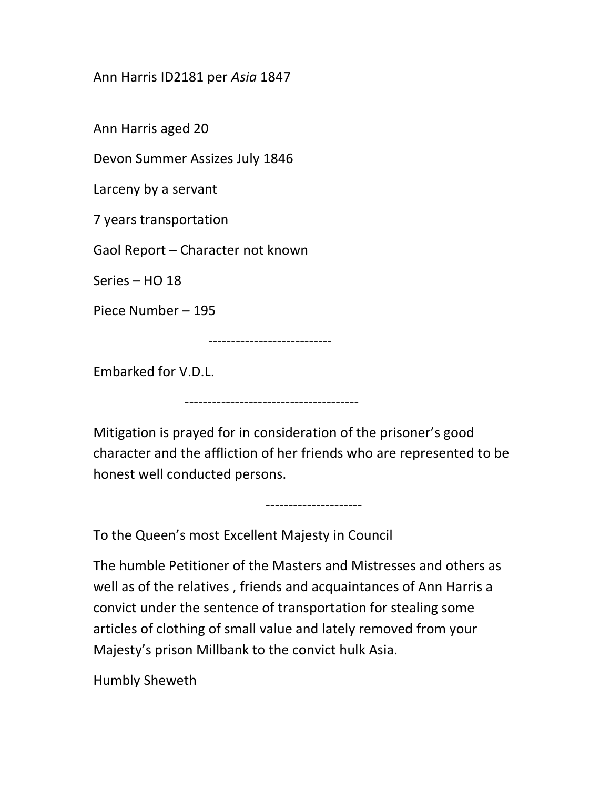## Ann Harris ID2181 per Asia 1847

Ann Harris aged 20

Devon Summer Assizes July 1846

Larceny by a servant

7 years transportation

Gaol Report – Character not known

Series – HO 18

Piece Number – 195

---------------------------

--------------------------------------

Embarked for V.D.L.

Mitigation is prayed for in consideration of the prisoner's good character and the affliction of her friends who are represented to be honest well conducted persons.

---------------------

To the Queen's most Excellent Majesty in Council

The humble Petitioner of the Masters and Mistresses and others as well as of the relatives , friends and acquaintances of Ann Harris a convict under the sentence of transportation for stealing some articles of clothing of small value and lately removed from your Majesty's prison Millbank to the convict hulk Asia.

Humbly Sheweth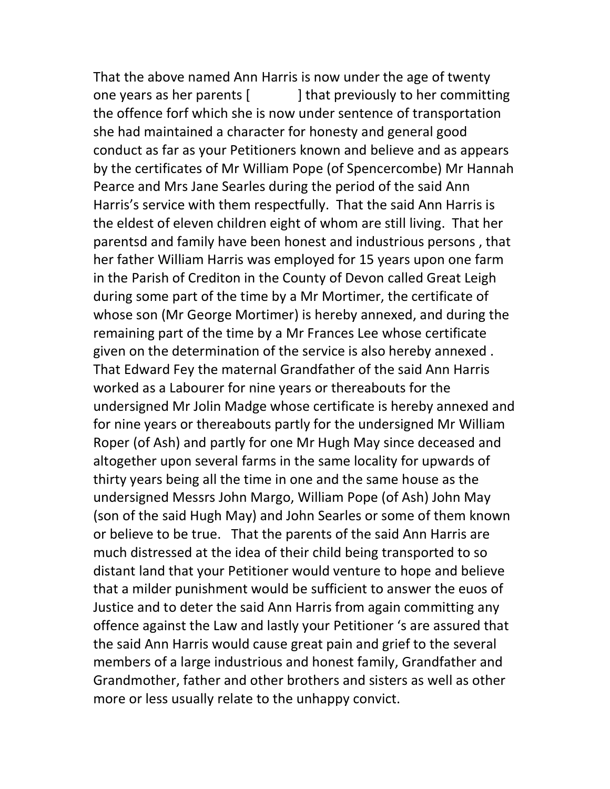That the above named Ann Harris is now under the age of twenty one years as her parents [ ] that previously to her committing the offence forf which she is now under sentence of transportation she had maintained a character for honesty and general good conduct as far as your Petitioners known and believe and as appears by the certificates of Mr William Pope (of Spencercombe) Mr Hannah Pearce and Mrs Jane Searles during the period of the said Ann Harris's service with them respectfully. That the said Ann Harris is the eldest of eleven children eight of whom are still living. That her parentsd and family have been honest and industrious persons , that her father William Harris was employed for 15 years upon one farm in the Parish of Crediton in the County of Devon called Great Leigh during some part of the time by a Mr Mortimer, the certificate of whose son (Mr George Mortimer) is hereby annexed, and during the remaining part of the time by a Mr Frances Lee whose certificate given on the determination of the service is also hereby annexed . That Edward Fey the maternal Grandfather of the said Ann Harris worked as a Labourer for nine years or thereabouts for the undersigned Mr Jolin Madge whose certificate is hereby annexed and for nine years or thereabouts partly for the undersigned Mr William Roper (of Ash) and partly for one Mr Hugh May since deceased and altogether upon several farms in the same locality for upwards of thirty years being all the time in one and the same house as the undersigned Messrs John Margo, William Pope (of Ash) John May (son of the said Hugh May) and John Searles or some of them known or believe to be true. That the parents of the said Ann Harris are much distressed at the idea of their child being transported to so distant land that your Petitioner would venture to hope and believe that a milder punishment would be sufficient to answer the euos of Justice and to deter the said Ann Harris from again committing any offence against the Law and lastly your Petitioner 's are assured that the said Ann Harris would cause great pain and grief to the several members of a large industrious and honest family, Grandfather and Grandmother, father and other brothers and sisters as well as other more or less usually relate to the unhappy convict.